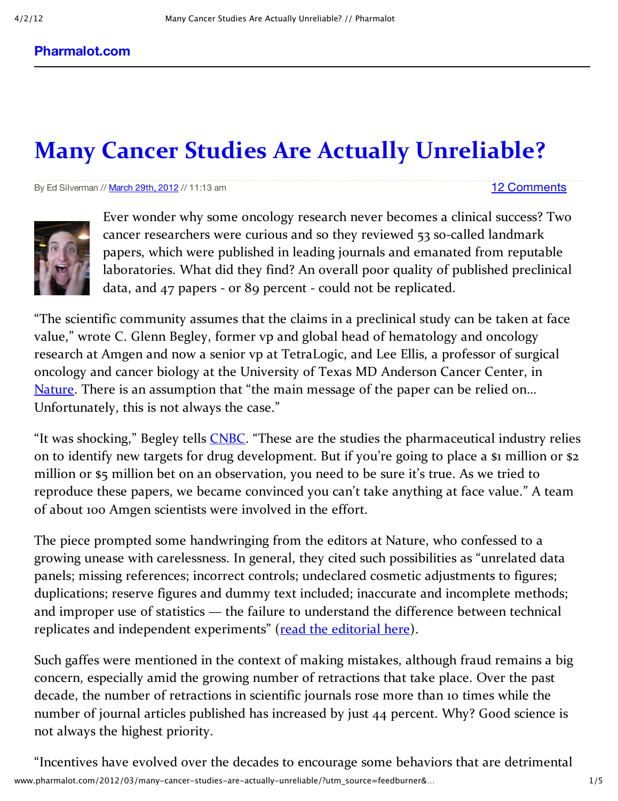## **Many Cancer Studies Are Actually Unreliable?**

By Ed Silverman // March 29th, 2012 // 11:13 am

## 12 Comments



Ever wonder why some oncology research never becomes a clinical success? Two cancer researchers were curious and so they reviewed 53 so-called landmark papers, which were published in leading journals and emanated from reputable laboratories. What did they find? An overall poor quality of published preclinical data, and 47 papers ‐ or 89 percent ‐ could not be replicated.

"The scientific community assumes that the claims in a preclinical study can be taken at face value," wrote C. Glenn Begley, former vp and global head of hematology and oncology research at Amgen and now a senior vp at TetraLogic, and Lee Ellis, a professor of surgical oncology and cancer biology at the University of Texas MD Anderson Cancer Center, in Nature. There is an assumption that "the main message of the paper can be relied on... Unfortunately, this is not always the case."

"It was shocking," Begley tells **CNBC**. "These are the studies the pharmaceutical industry relies on to identify new targets for drug development. But if you're going to place a \$1 million or \$2 million or \$5 million bet on an observation, you need to be sure it's true. As we tried to reproduce these papers, we became convinced you can't take anything at face value." A team of about 100 Amgen scientists were involved in the effort.

The piece prompted some handwringing from the editors at Nature, who confessed to a growing unease with carelessness. In general, they cited such possibilities as "unrelated data panels; missing references; incorrect controls; undeclared cosmetic adjustments to figures; duplications; reserve figures and dummy text included; inaccurate and incomplete methods; and improper use of statistics — the failure to understand the difference between technical replicates and independent experiments" (read the editorial here).

Such gaffes were mentioned in the context of making mistakes, although fraud remains a big concern, especially amid the growing number of retractions that take place. Over the past decade, the number of retractions in scientific journals rose more than 10 times while the number of journal articles published has increased by just 44 percent. Why? Good science is not always the highest priority.

www.pharmalot.com/2012/03/many–cancer–studies–are–actually–unreliable/?utm\_source=feedburner&… 1/5 "Incentives have evolved over the decades to encourage some behaviors that are detrimental